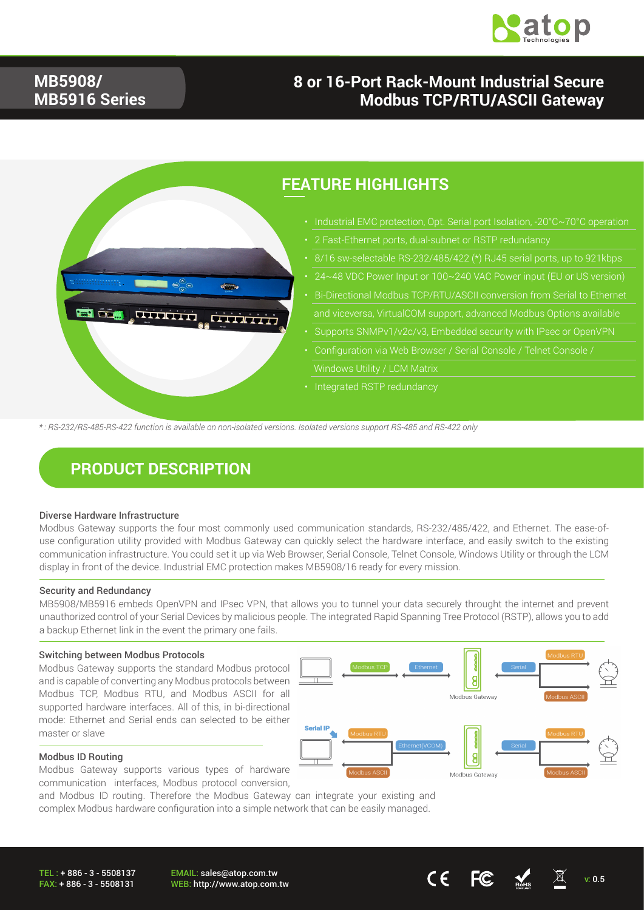

### **MB5908/ MB5916 Series**

### **8 or 16-Port Rack-Mount Industrial Secure Modbus TCP/RTU/ASCII Gateway**



*\* : RS-232/RS-485-RS-422 function is available on non-isolated versions. Isolated versions support RS-485 and RS-422 only*

### **PRODUCT DESCRIPTION**

#### Diverse Hardware Infrastructure

Modbus Gateway supports the four most commonly used communication standards, RS-232/485/422, and Ethernet. The ease-ofuse configuration utility provided with Modbus Gateway can quickly select the hardware interface, and easily switch to the existing communication infrastructure. You could set it up via Web Browser, Serial Console, Telnet Console, Windows Utility or through the LCM display in front of the device. Industrial EMC protection makes MB5908/16 ready for every mission.

#### Security and Redundancy

MB5908/MB5916 embeds OpenVPN and IPsec VPN, that allows you to tunnel your data securely throught the internet and prevent unauthorized control of your Serial Devices by malicious people. The integrated Rapid Spanning Tree Protocol (RSTP), allows you to add a backup Ethernet link in the event the primary one fails.

#### Switching between Modbus Protocols

Modbus Gateway supports the standard Modbus protocol and is capable of converting any Modbus protocols between Modbus TCP, Modbus RTU, and Modbus ASCII for all supported hardware interfaces. All of this, in bi-directional mode: Ethernet and Serial ends can selected to be either master or slave



Modbus Gateway supports various types of hardware communication interfaces, Modbus protocol conversion,

and Modbus ID routing. Therefore the Modbus Gateway can integrate your existing and complex Modbus hardware configuration into a simple network that can be easily managed.



EMAIL: sales@atop.com.tw WEB: http://www.atop.com.tw v: 0.5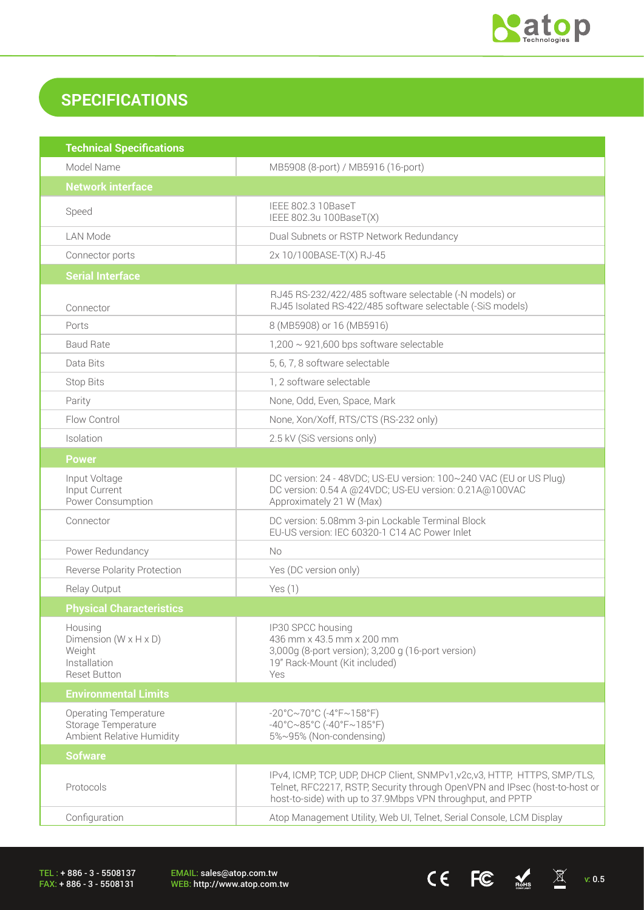

## **SPECIFICATIONS**

| <b>Technical Specifications</b>                                                                 |                                                                                                                                                                                                                       |  |  |
|-------------------------------------------------------------------------------------------------|-----------------------------------------------------------------------------------------------------------------------------------------------------------------------------------------------------------------------|--|--|
| Model Name                                                                                      | MB5908 (8-port) / MB5916 (16-port)                                                                                                                                                                                    |  |  |
| <b>Network interface</b>                                                                        |                                                                                                                                                                                                                       |  |  |
| Speed                                                                                           | IEEE 802.3 10BaseT<br>IEEE 802.3u 100BaseT(X)                                                                                                                                                                         |  |  |
| <b>LAN Mode</b>                                                                                 | Dual Subnets or RSTP Network Redundancy                                                                                                                                                                               |  |  |
| Connector ports                                                                                 | 2x 10/100BASE-T(X) RJ-45                                                                                                                                                                                              |  |  |
| <b>Serial Interface</b>                                                                         |                                                                                                                                                                                                                       |  |  |
| Connector                                                                                       | RJ45 RS-232/422/485 software selectable (-N models) or<br>RJ45 Isolated RS-422/485 software selectable (-SiS models)                                                                                                  |  |  |
| Ports                                                                                           | 8 (MB5908) or 16 (MB5916)                                                                                                                                                                                             |  |  |
| <b>Baud Rate</b>                                                                                | $1,200 \sim 921,600$ bps software selectable                                                                                                                                                                          |  |  |
| Data Bits                                                                                       | 5, 6, 7, 8 software selectable                                                                                                                                                                                        |  |  |
| <b>Stop Bits</b>                                                                                | 1, 2 software selectable                                                                                                                                                                                              |  |  |
| Parity                                                                                          | None, Odd, Even, Space, Mark                                                                                                                                                                                          |  |  |
| Flow Control                                                                                    | None, Xon/Xoff, RTS/CTS (RS-232 only)                                                                                                                                                                                 |  |  |
| Isolation                                                                                       | 2.5 kV (SiS versions only)                                                                                                                                                                                            |  |  |
| <b>Power</b>                                                                                    |                                                                                                                                                                                                                       |  |  |
| Input Voltage<br>Input Current<br>Power Consumption                                             | DC version: 24 - 48VDC; US-EU version: 100~240 VAC (EU or US Plug)<br>DC version: 0.54 A @24VDC; US-EU version: 0.21A@100VAC<br>Approximately 21 W (Max)                                                              |  |  |
| Connector                                                                                       | DC version: 5.08mm 3-pin Lockable Terminal Block<br>EU-US version: IEC 60320-1 C14 AC Power Inlet                                                                                                                     |  |  |
| Power Redundancy                                                                                | No.                                                                                                                                                                                                                   |  |  |
| <b>Reverse Polarity Protection</b>                                                              | Yes (DC version only)                                                                                                                                                                                                 |  |  |
| Relay Output                                                                                    | Yes(1)                                                                                                                                                                                                                |  |  |
| <b>Physical Characteristics</b>                                                                 |                                                                                                                                                                                                                       |  |  |
| Housing<br>Dimension ( $W \times H \times D$ )<br>Weight<br>Installation<br><b>Reset Button</b> | IP30 SPCC housing<br>436 mm x 43.5 mm x 200 mm<br>3,000g (8-port version); 3,200 g (16-port version)<br>19" Rack-Mount (Kit included)<br>Yes                                                                          |  |  |
| <b>Environmental Limits</b>                                                                     |                                                                                                                                                                                                                       |  |  |
| <b>Operating Temperature</b><br>Storage Temperature<br>Ambient Relative Humidity                | $-20^{\circ}$ C~70°C (-4°F~158°F)<br>$-40^{\circ}$ C $\sim$ 85°C (-40°F $\sim$ 185°F)<br>5%~95% (Non-condensing)                                                                                                      |  |  |
| <b>Sofware</b>                                                                                  |                                                                                                                                                                                                                       |  |  |
| Protocols                                                                                       | IPv4, ICMP, TCP, UDP, DHCP Client, SNMPv1, v2c, v3, HTTP, HTTPS, SMP/TLS,<br>Telnet, RFC2217, RSTP, Security through OpenVPN and IPsec (host-to-host or<br>host-to-side) with up to 37.9Mbps VPN throughput, and PPTP |  |  |
| Configuration                                                                                   | Atop Management Utility, Web UI, Telnet, Serial Console, LCM Display                                                                                                                                                  |  |  |

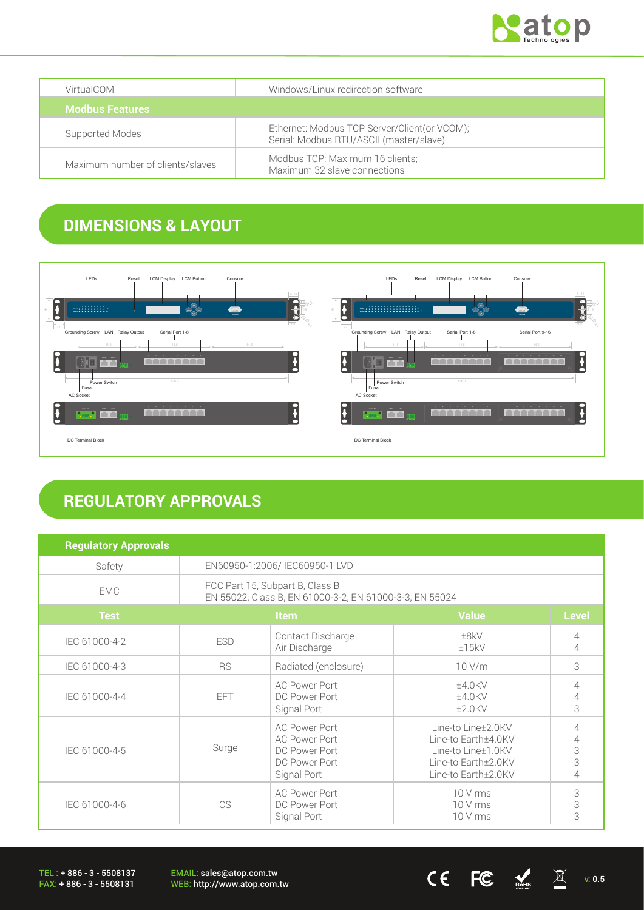

| VirtualCOM                       | Windows/Linux redirection software                                                      |  |
|----------------------------------|-----------------------------------------------------------------------------------------|--|
| <b>Modbus Features</b>           |                                                                                         |  |
| Supported Modes                  | Ethernet: Modbus TCP Server/Client(or VCOM);<br>Serial: Modbus RTU/ASCII (master/slave) |  |
| Maximum number of clients/slaves | Modbus TCP: Maximum 16 clients;<br>Maximum 32 slave connections                         |  |

# **DIMENSIONS & LAYOUT**



## **REGULATORY APPROVALS**

| <b>Regulatory Approvals</b> |                                                                                            |                                                                                               |                                                                                                               |                       |
|-----------------------------|--------------------------------------------------------------------------------------------|-----------------------------------------------------------------------------------------------|---------------------------------------------------------------------------------------------------------------|-----------------------|
| Safety                      | EN60950-1:2006/IEC60950-1 LVD                                                              |                                                                                               |                                                                                                               |                       |
| <b>EMC</b>                  | FCC Part 15, Subpart B, Class B<br>EN 55022, Class B, EN 61000-3-2, EN 61000-3-3, EN 55024 |                                                                                               |                                                                                                               |                       |
| <b>Test</b>                 | <b>Item</b>                                                                                |                                                                                               | <b>Value</b>                                                                                                  | <b>Level</b>          |
| IEC 61000-4-2               | <b>ESD</b>                                                                                 | Contact Discharge<br>Air Discharge                                                            | ±8kV<br>±15kV                                                                                                 | $\overline{4}$<br>4   |
| IEC 61000-4-3               | <b>RS</b>                                                                                  | Radiated (enclosure)                                                                          | $10$ V/m                                                                                                      | 3                     |
| IEC 61000-4-4               | <b>EFT</b>                                                                                 | <b>AC Power Port</b><br>DC Power Port<br>Signal Port                                          | $±4.0$ KV<br>$±4.0$ KV<br>$±2.0$ KV                                                                           | 4<br>4<br>3           |
| IEC 61000-4-5               | Surge                                                                                      | <b>AC Power Port</b><br><b>AC Power Port</b><br>DC Power Port<br>DC Power Port<br>Signal Port | Line-to Line±2.0KV<br>Line-to Earth±4.0KV<br>Line-to Line±1.0KV<br>Line-to Earth±2.0KV<br>Line-to Earth±2.0KV | 4<br>4<br>3<br>3<br>4 |
| IEC 61000-4-6               | CS                                                                                         | <b>AC Power Port</b><br>DC Power Port<br>Signal Port                                          | $10V$ rms<br>$10V$ rms<br>10 V rms                                                                            | 3<br>3<br>3           |

TEL : + 886 - 3 - 5508137 FAX: + 886 - 3 - 5508131

EMAIL: sales@atop.com.tw